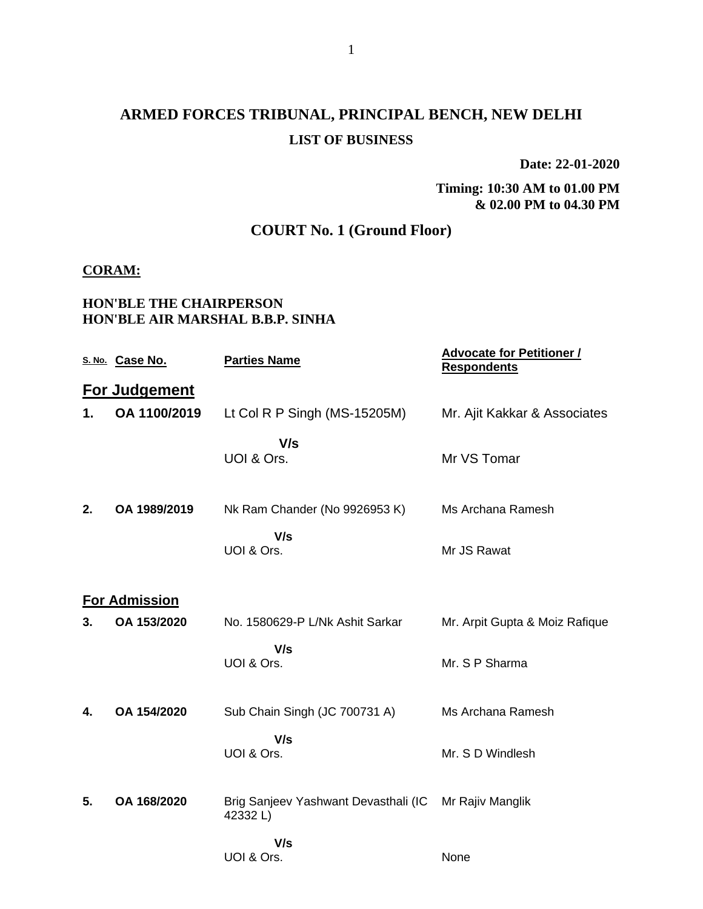# **ARMED FORCES TRIBUNAL, PRINCIPAL BENCH, NEW DELHI LIST OF BUSINESS**

**Date: 22-01-2020**

**Timing: 10:30 AM to 01.00 PM & 02.00 PM to 04.30 PM**

## **COURT No. 1 (Ground Floor)**

#### **CORAM:**

### **HON'BLE THE CHAIRPERSON HON'BLE AIR MARSHAL B.B.P. SINHA**

|    | S. No. Case No.      | <b>Parties Name</b>                             | <b>Advocate for Petitioner /</b><br><b>Respondents</b> |
|----|----------------------|-------------------------------------------------|--------------------------------------------------------|
|    | <b>For Judgement</b> |                                                 |                                                        |
| 1. | OA 1100/2019         | Lt Col R P Singh (MS-15205M)                    | Mr. Ajit Kakkar & Associates                           |
|    |                      | V/s<br>UOI & Ors.                               | Mr VS Tomar                                            |
| 2. | OA 1989/2019         | Nk Ram Chander (No 9926953 K)                   | Ms Archana Ramesh                                      |
|    |                      | V/s<br>UOI & Ors.                               | Mr JS Rawat                                            |
|    | <b>For Admission</b> |                                                 |                                                        |
| 3. | OA 153/2020          | No. 1580629-P L/Nk Ashit Sarkar                 | Mr. Arpit Gupta & Moiz Rafique                         |
|    |                      | V/s<br>UOI & Ors.                               | Mr. S P Sharma                                         |
| 4. | OA 154/2020          | Sub Chain Singh (JC 700731 A)                   | Ms Archana Ramesh                                      |
|    |                      | V/s<br>UOI & Ors.                               | Mr. S D Windlesh                                       |
| 5. | OA 168/2020          | Brig Sanjeev Yashwant Devasthali (IC<br>42332L) | Mr Rajiv Manglik                                       |
|    |                      | V/s<br>UOI & Ors.                               | None                                                   |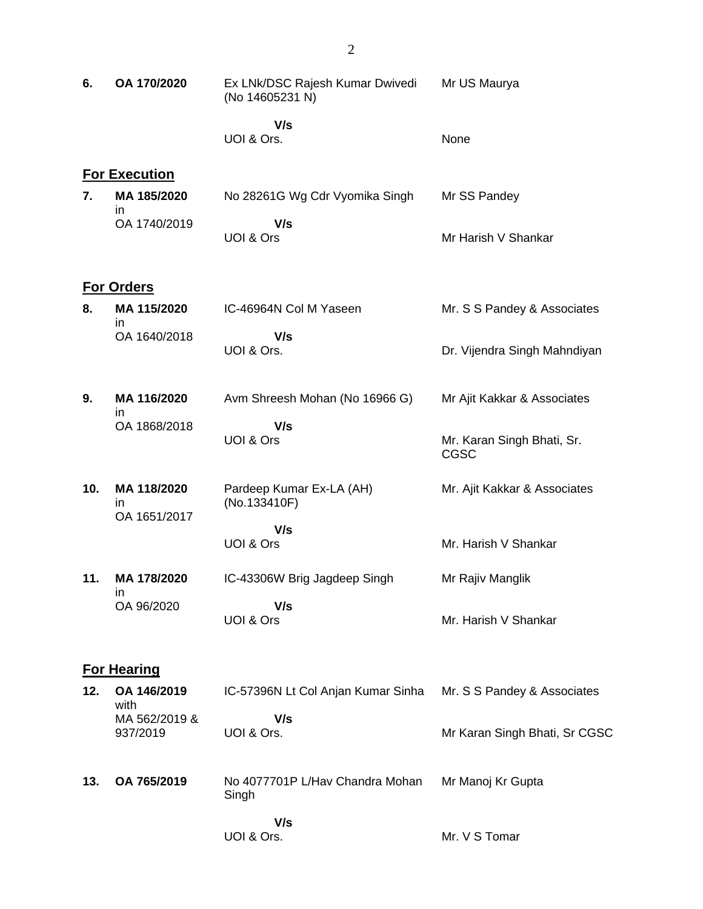| 6.  | OA 170/2020                       | Ex LNk/DSC Rajesh Kumar Dwivedi<br>(No 14605231 N) | Mr US Maurya                              |
|-----|-----------------------------------|----------------------------------------------------|-------------------------------------------|
|     |                                   | V/s<br>UOI & Ors.                                  | None                                      |
|     | <b>For Execution</b>              |                                                    |                                           |
| 7.  | MA 185/2020<br>in                 | No 28261G Wg Cdr Vyomika Singh                     | Mr SS Pandey                              |
|     | OA 1740/2019                      | V/s<br>UOI & Ors                                   | Mr Harish V Shankar                       |
|     | <b>For Orders</b>                 |                                                    |                                           |
| 8.  | MA 115/2020                       | IC-46964N Col M Yaseen                             | Mr. S S Pandey & Associates               |
|     | in<br>OA 1640/2018                | V/s<br>UOI & Ors.                                  | Dr. Vijendra Singh Mahndiyan              |
| 9.  | MA 116/2020<br>in                 | Avm Shreesh Mohan (No 16966 G)                     | Mr Ajit Kakkar & Associates               |
|     | OA 1868/2018                      | V/s<br>UOI & Ors                                   | Mr. Karan Singh Bhati, Sr.<br><b>CGSC</b> |
| 10. | MA 118/2020<br>in<br>OA 1651/2017 | Pardeep Kumar Ex-LA (AH)<br>(No.133410F)           | Mr. Ajit Kakkar & Associates              |
|     |                                   | V/s<br>UOI & Ors                                   | Mr. Harish V Shankar                      |
| 11. | MA 178/2020                       | IC-43306W Brig Jagdeep Singh                       | Mr Rajiv Manglik                          |
|     | ın<br>OA 96/2020                  | V/s<br>UOI & Ors                                   | Mr. Harish V Shankar                      |
|     | <b>For Hearing</b>                |                                                    |                                           |
| 12. | OA 146/2019<br>with               | IC-57396N Lt Col Anjan Kumar Sinha                 | Mr. S S Pandey & Associates               |
|     | MA 562/2019 &<br>937/2019         | V/s<br>UOI & Ors.                                  | Mr Karan Singh Bhati, Sr CGSC             |
| 13. | OA 765/2019                       | No 4077701P L/Hav Chandra Mohan<br>Singh           | Mr Manoj Kr Gupta                         |
|     |                                   | V/s<br>UOI & Ors.                                  | Mr. V S Tomar                             |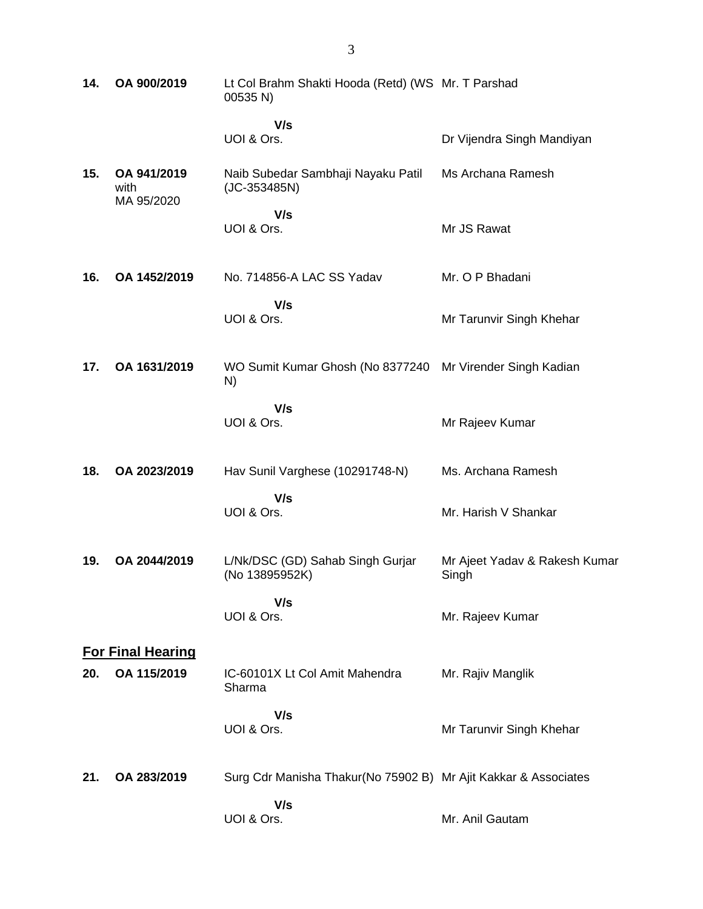| 14. | OA 900/2019                       | Lt Col Brahm Shakti Hooda (Retd) (WS Mr. T Parshad<br>00535 N)  |                                        |
|-----|-----------------------------------|-----------------------------------------------------------------|----------------------------------------|
|     |                                   | V/s<br>UOI & Ors.                                               | Dr Vijendra Singh Mandiyan             |
| 15. | OA 941/2019<br>with<br>MA 95/2020 | Naib Subedar Sambhaji Nayaku Patil<br>(JC-353485N)              | Ms Archana Ramesh                      |
|     |                                   | V/s<br>UOI & Ors.                                               | Mr JS Rawat                            |
| 16. | OA 1452/2019                      | No. 714856-A LAC SS Yadav                                       | Mr. O P Bhadani                        |
|     |                                   | V/s<br>UOI & Ors.                                               | Mr Tarunvir Singh Khehar               |
| 17. | OA 1631/2019                      | WO Sumit Kumar Ghosh (No 8377240<br>N)                          | Mr Virender Singh Kadian               |
|     |                                   | V/s<br>UOI & Ors.                                               | Mr Rajeev Kumar                        |
| 18. | OA 2023/2019                      | Hav Sunil Varghese (10291748-N)                                 | Ms. Archana Ramesh                     |
|     |                                   | V/s<br>UOI & Ors.                                               | Mr. Harish V Shankar                   |
| 19. | OA 2044/2019                      | L/Nk/DSC (GD) Sahab Singh Gurjar<br>(No 13895952K)              | Mr Ajeet Yadav & Rakesh Kumar<br>Singh |
|     |                                   | V/s<br>UOI & Ors.                                               | Mr. Rajeev Kumar                       |
|     | <b>For Final Hearing</b>          |                                                                 |                                        |
| 20. | OA 115/2019                       | IC-60101X Lt Col Amit Mahendra<br>Sharma                        | Mr. Rajiv Manglik                      |
|     |                                   | V/s<br>UOI & Ors.                                               | Mr Tarunvir Singh Khehar               |
| 21. | OA 283/2019                       | Surg Cdr Manisha Thakur(No 75902 B) Mr Ajit Kakkar & Associates |                                        |
|     |                                   | V/s<br>UOI & Ors.                                               | Mr. Anil Gautam                        |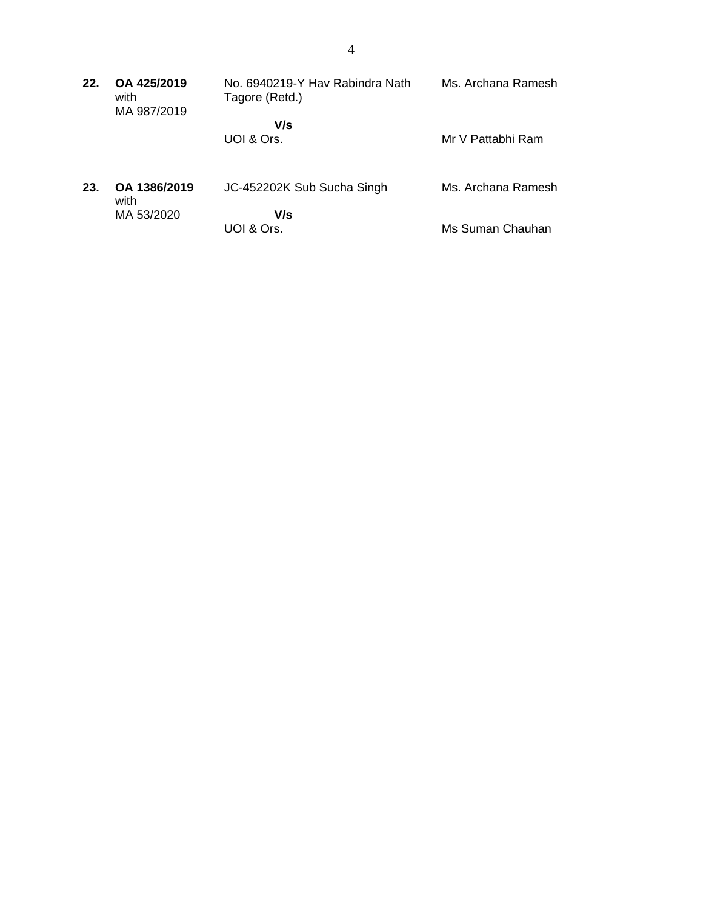| 22. | OA 425/2019<br>with<br>MA 987/2019 | No. 6940219-Y Hav Rabindra Nath<br>Tagore (Retd.) | Ms. Archana Ramesh |
|-----|------------------------------------|---------------------------------------------------|--------------------|
|     |                                    | V/s                                               |                    |
|     |                                    | UOI & Ors.                                        | Mr V Pattabhi Ram  |
| 23. | OA 1386/2019<br>with               | JC-452202K Sub Sucha Singh                        | Ms. Archana Ramesh |
|     | MA 53/2020                         | V/s<br>UOI & Ors.                                 | Ms Suman Chauhan   |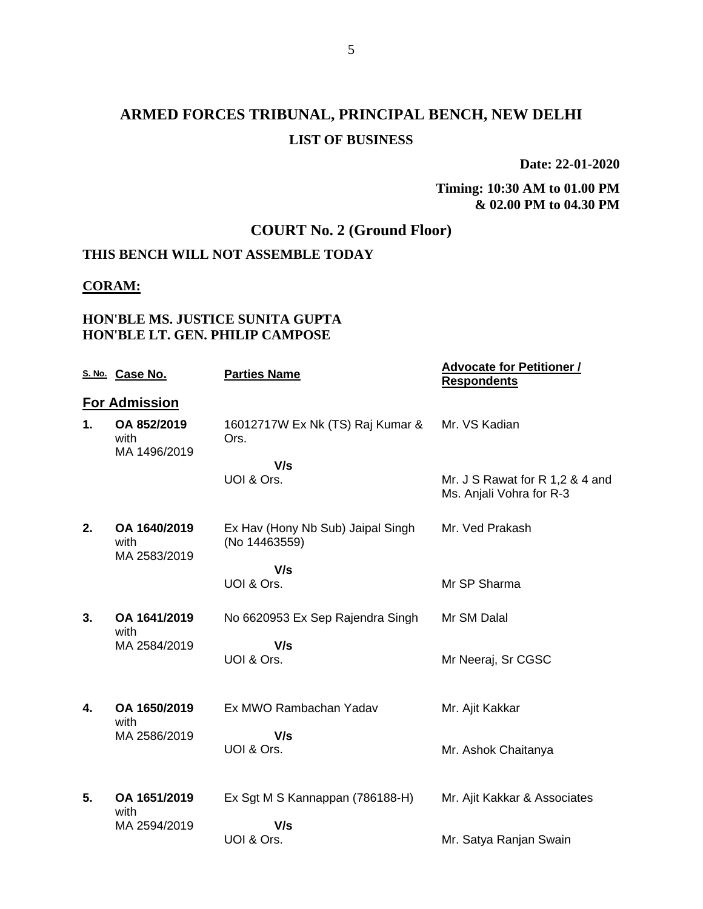# **ARMED FORCES TRIBUNAL, PRINCIPAL BENCH, NEW DELHI LIST OF BUSINESS**

**Date: 22-01-2020**

**Timing: 10:30 AM to 01.00 PM & 02.00 PM to 04.30 PM**

## **COURT No. 2 (Ground Floor)**

## **THIS BENCH WILL NOT ASSEMBLE TODAY**

#### **CORAM:**

### **HON'BLE MS. JUSTICE SUNITA GUPTA HON'BLE LT. GEN. PHILIP CAMPOSE**

|    | S. No. Case No.                      | <b>Parties Name</b>                                | <b>Advocate for Petitioner /</b><br><b>Respondents</b>      |
|----|--------------------------------------|----------------------------------------------------|-------------------------------------------------------------|
|    | <b>For Admission</b>                 |                                                    |                                                             |
| 1. | OA 852/2019<br>with<br>MA 1496/2019  | 16012717W Ex Nk (TS) Raj Kumar &<br>Ors.           | Mr. VS Kadian                                               |
|    |                                      | V/s                                                |                                                             |
|    |                                      | UOI & Ors.                                         | Mr. J S Rawat for R 1,2 & 4 and<br>Ms. Anjali Vohra for R-3 |
| 2. | OA 1640/2019<br>with<br>MA 2583/2019 | Ex Hav (Hony Nb Sub) Jaipal Singh<br>(No 14463559) | Mr. Ved Prakash                                             |
|    |                                      | V/s                                                |                                                             |
|    |                                      | UOI & Ors.                                         | Mr SP Sharma                                                |
| 3. | OA 1641/2019<br>with                 | No 6620953 Ex Sep Rajendra Singh                   | Mr SM Dalal                                                 |
|    | MA 2584/2019                         | V/s                                                |                                                             |
|    |                                      | UOI & Ors.                                         | Mr Neeraj, Sr CGSC                                          |
| 4. | OA 1650/2019                         | Ex MWO Rambachan Yadav                             | Mr. Ajit Kakkar                                             |
|    | with                                 |                                                    |                                                             |
|    | MA 2586/2019                         | V/s                                                |                                                             |
|    |                                      | UOI & Ors.                                         | Mr. Ashok Chaitanya                                         |
| 5. | OA 1651/2019                         | Ex Sgt M S Kannappan (786188-H)                    | Mr. Ajit Kakkar & Associates                                |
|    | with                                 |                                                    |                                                             |
|    | MA 2594/2019                         | V/s                                                |                                                             |
|    |                                      | UOI & Ors.                                         | Mr. Satya Ranjan Swain                                      |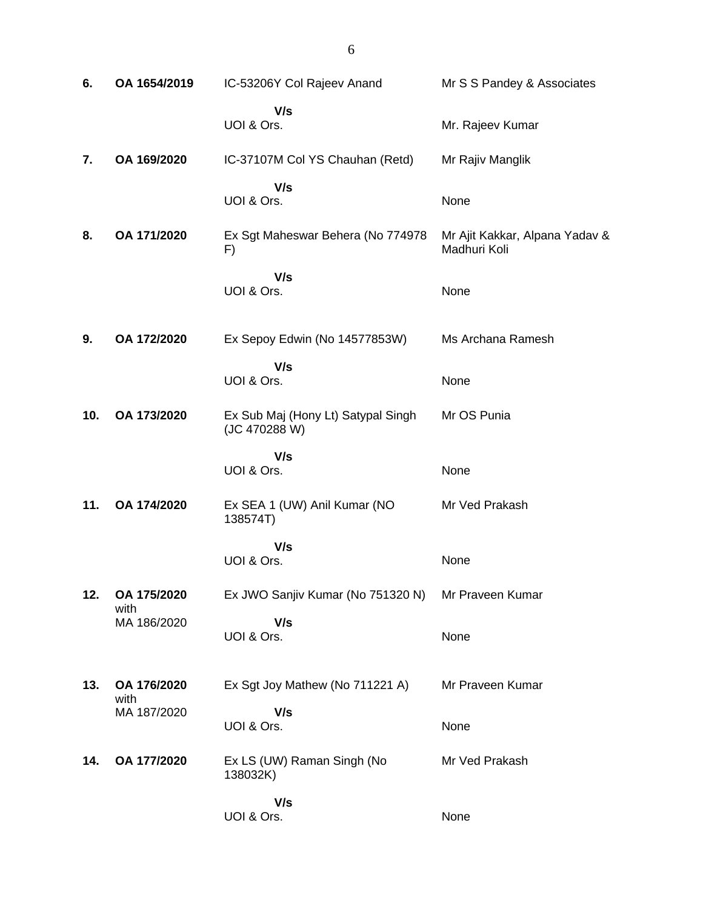| 6.  | OA 1654/2019        | IC-53206Y Col Rajeev Anand                          | Mr S S Pandey & Associates                     |
|-----|---------------------|-----------------------------------------------------|------------------------------------------------|
|     |                     | V/s<br>UOI & Ors.                                   | Mr. Rajeev Kumar                               |
| 7.  | OA 169/2020         | IC-37107M Col YS Chauhan (Retd)                     | Mr Rajiv Manglik                               |
|     |                     | V/s<br>UOI & Ors.                                   | None                                           |
| 8.  | OA 171/2020         | Ex Sgt Maheswar Behera (No 774978<br>F)             | Mr Ajit Kakkar, Alpana Yadav &<br>Madhuri Koli |
|     |                     | V/s<br>UOI & Ors.                                   | None                                           |
| 9.  | OA 172/2020         | Ex Sepoy Edwin (No 14577853W)                       | Ms Archana Ramesh                              |
|     |                     | V/s<br>UOI & Ors.                                   | None                                           |
| 10. | OA 173/2020         | Ex Sub Maj (Hony Lt) Satypal Singh<br>(JC 470288 W) | Mr OS Punia                                    |
|     |                     | V/s<br>UOI & Ors.                                   | None                                           |
| 11. | OA 174/2020         | Ex SEA 1 (UW) Anil Kumar (NO<br>138574T)            | Mr Ved Prakash                                 |
|     |                     | V/s<br>UOI & Ors.                                   | None                                           |
| 12. | OA 175/2020<br>with | Ex JWO Sanjiv Kumar (No 751320 N)                   | Mr Praveen Kumar                               |
|     | MA 186/2020         | V/s<br>UOI & Ors.                                   | None                                           |
| 13. | OA 176/2020<br>with | Ex Sgt Joy Mathew (No 711221 A)                     | Mr Praveen Kumar                               |
|     | MA 187/2020         | V/s<br>UOI & Ors.                                   | None                                           |
| 14. | OA 177/2020         | Ex LS (UW) Raman Singh (No<br>138032K)              | Mr Ved Prakash                                 |
|     |                     | V/s<br>UOI & Ors.                                   | None                                           |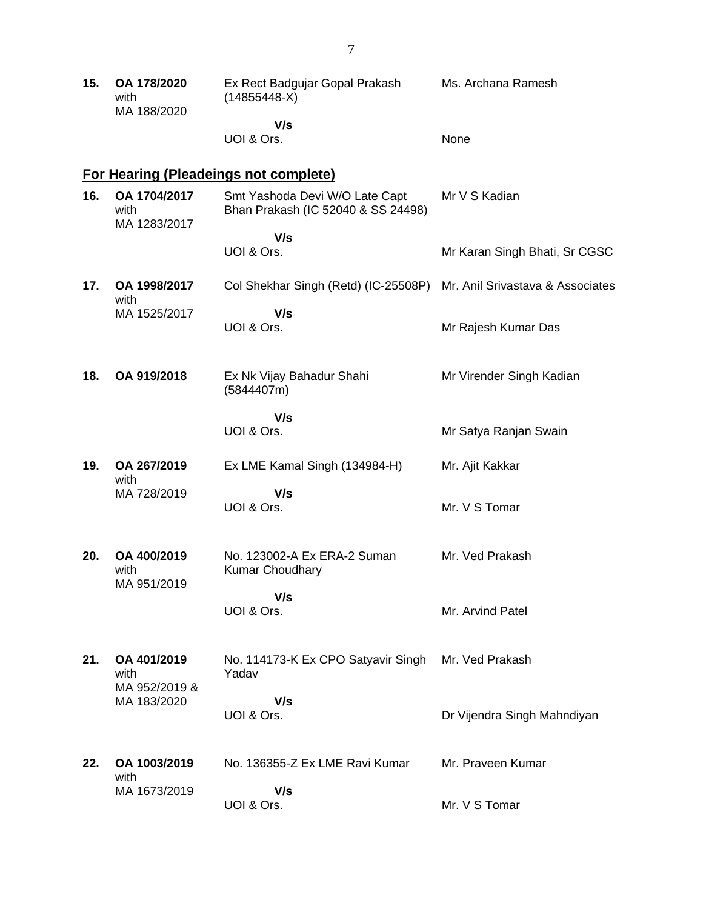| 15. | OA 178/2020<br>with<br>MA 188/2020   | Ex Rect Badgujar Gopal Prakash<br>$(14855448-X)$                     | Ms. Archana Ramesh               |
|-----|--------------------------------------|----------------------------------------------------------------------|----------------------------------|
|     |                                      | V/s<br>UOI & Ors.                                                    | None                             |
|     |                                      | <b>For Hearing (Pleadeings not complete)</b>                         |                                  |
| 16. | OA 1704/2017<br>with<br>MA 1283/2017 | Smt Yashoda Devi W/O Late Capt<br>Bhan Prakash (IC 52040 & SS 24498) | Mr V S Kadian                    |
|     |                                      | V/s<br>UOI & Ors.                                                    | Mr Karan Singh Bhati, Sr CGSC    |
| 17. | OA 1998/2017<br>with                 | Col Shekhar Singh (Retd) (IC-25508P)                                 | Mr. Anil Srivastava & Associates |
|     | MA 1525/2017                         | V/s<br>UOI & Ors.                                                    | Mr Rajesh Kumar Das              |
| 18. | OA 919/2018                          | Ex Nk Vijay Bahadur Shahi<br>(5844407m)                              | Mr Virender Singh Kadian         |
|     |                                      | V/s<br>UOI & Ors.                                                    | Mr Satya Ranjan Swain            |
| 19. | OA 267/2019<br>with                  | Ex LME Kamal Singh (134984-H)                                        | Mr. Ajit Kakkar                  |
|     | MA 728/2019                          | V/s<br>UOI & Ors.                                                    | Mr. V S Tomar                    |
| 20. | OA 400/2019<br>with                  | No. 123002-A Ex ERA-2 Suman<br><b>Kumar Choudhary</b>                | Mr. Ved Prakash                  |
|     | MA 951/2019                          | V/s<br>UOI & Ors.                                                    | Mr. Arvind Patel                 |
| 21. | OA 401/2019<br>with<br>MA 952/2019 & | No. 114173-K Ex CPO Satyavir Singh<br>Yadav                          | Mr. Ved Prakash                  |
|     | MA 183/2020                          | V/s<br>UOI & Ors.                                                    | Dr Vijendra Singh Mahndiyan      |
| 22. | OA 1003/2019<br>with                 | No. 136355-Z Ex LME Ravi Kumar                                       | Mr. Praveen Kumar                |
|     | MA 1673/2019                         | V/s<br>UOI & Ors.                                                    | Mr. V S Tomar                    |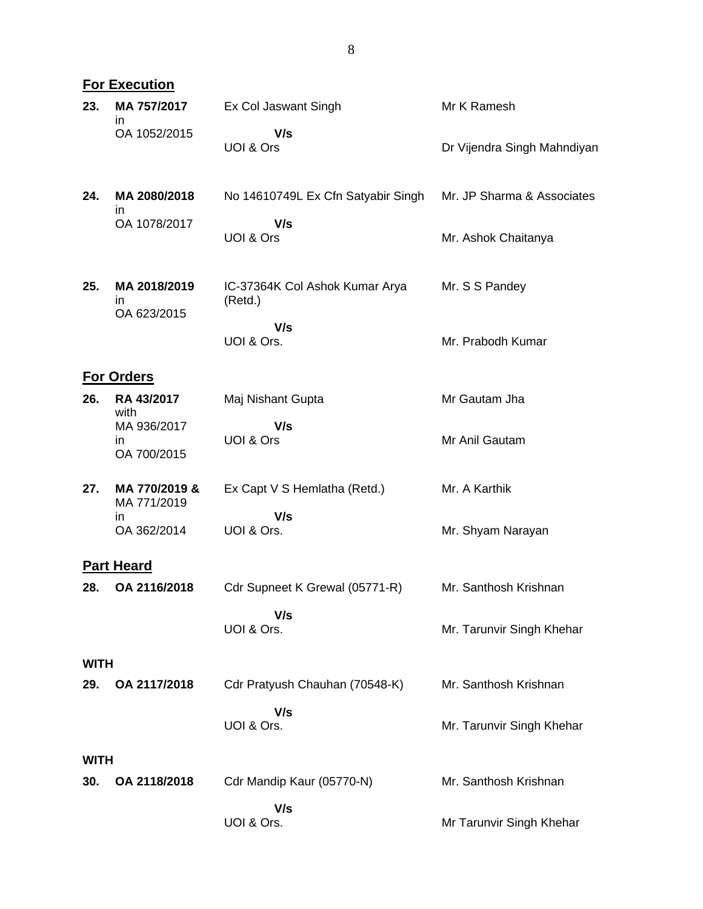|             | <b>For Execution</b>              |                                           |                             |
|-------------|-----------------------------------|-------------------------------------------|-----------------------------|
| 23.         | MA 757/2017<br>ın                 | Ex Col Jaswant Singh                      | Mr K Ramesh                 |
|             | OA 1052/2015                      | V/s<br>UOI & Ors                          | Dr Vijendra Singh Mahndiyan |
| 24.         | MA 2080/2018<br>ın                | No 14610749L Ex Cfn Satyabir Singh        | Mr. JP Sharma & Associates  |
|             | OA 1078/2017                      | V/s<br>UOI & Ors                          | Mr. Ashok Chaitanya         |
| 25.         | MA 2018/2019<br>in<br>OA 623/2015 | IC-37364K Col Ashok Kumar Arya<br>(Retd.) | Mr. S S Pandey              |
|             |                                   | V/s<br>UOI & Ors.                         | Mr. Prabodh Kumar           |
|             | <b>For Orders</b>                 |                                           |                             |
| 26.         | RA 43/2017<br>with                | Maj Nishant Gupta                         | Mr Gautam Jha               |
|             | MA 936/2017<br>in<br>OA 700/2015  | V/s<br>UOI & Ors                          | Mr Anil Gautam              |
| 27.         | MA 770/2019 &<br>MA 771/2019      | Ex Capt V S Hemlatha (Retd.)              | Mr. A Karthik               |
|             | in<br>OA 362/2014                 | V/s<br>UOI & Ors.                         | Mr. Shyam Narayan           |
|             | <b>Part Heard</b>                 |                                           |                             |
| 28.         | OA 2116/2018                      | Cdr Supneet K Grewal (05771-R)            | Mr. Santhosh Krishnan       |
|             |                                   | V/s<br>UOI & Ors.                         | Mr. Tarunvir Singh Khehar   |
| <b>WITH</b> |                                   |                                           |                             |
| 29.         | OA 2117/2018                      | Cdr Pratyush Chauhan (70548-K)            | Mr. Santhosh Krishnan       |
|             |                                   | V/s<br>UOI & Ors.                         | Mr. Tarunvir Singh Khehar   |
| <b>WITH</b> |                                   |                                           |                             |
| 30.         | OA 2118/2018                      | Cdr Mandip Kaur (05770-N)                 | Mr. Santhosh Krishnan       |
|             |                                   | V/s<br>UOI & Ors.                         | Mr Tarunvir Singh Khehar    |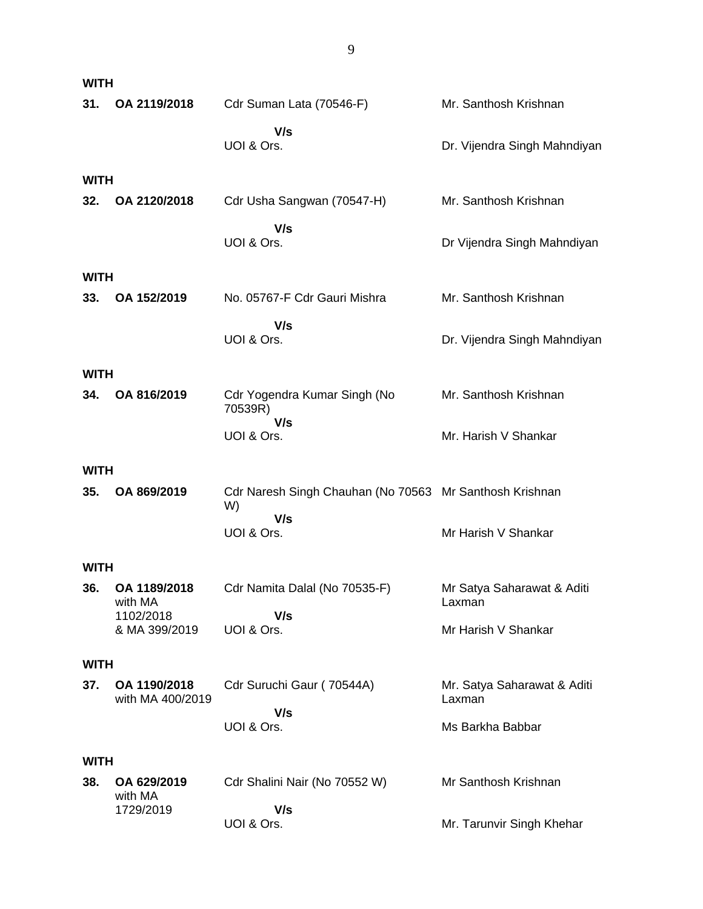| <b>WITH</b>        |                                  |                                                               |                                       |
|--------------------|----------------------------------|---------------------------------------------------------------|---------------------------------------|
| 31.                | OA 2119/2018                     | Cdr Suman Lata (70546-F)                                      | Mr. Santhosh Krishnan                 |
|                    |                                  | V/s<br>UOI & Ors.                                             | Dr. Vijendra Singh Mahndiyan          |
| <b>WITH</b>        |                                  |                                                               |                                       |
| 32.                | OA 2120/2018                     | Cdr Usha Sangwan (70547-H)                                    | Mr. Santhosh Krishnan                 |
|                    |                                  | V/s<br>UOI & Ors.                                             | Dr Vijendra Singh Mahndiyan           |
| <b>WITH</b>        |                                  |                                                               |                                       |
| 33.                | OA 152/2019                      | No. 05767-F Cdr Gauri Mishra                                  | Mr. Santhosh Krishnan                 |
|                    |                                  | V/s<br>UOI & Ors.                                             | Dr. Vijendra Singh Mahndiyan          |
| <b>WITH</b>        |                                  |                                                               |                                       |
| 34.                | OA 816/2019                      | Cdr Yogendra Kumar Singh (No<br>70539R)                       | Mr. Santhosh Krishnan                 |
|                    |                                  | V/s<br>UOI & Ors.                                             | Mr. Harish V Shankar                  |
| <b>WITH</b>        |                                  |                                                               |                                       |
| 35.                | OA 869/2019                      | Cdr Naresh Singh Chauhan (No 70563 Mr Santhosh Krishnan<br>W) |                                       |
|                    |                                  | V/s<br>UOI & Ors.                                             | Mr Harish V Shankar                   |
| <b>WITH</b>        |                                  |                                                               |                                       |
| 36.                | OA 1189/2018<br>with MA          | Cdr Namita Dalal (No 70535-F)                                 | Mr Satya Saharawat & Aditi<br>Laxman  |
|                    | 1102/2018<br>& MA 399/2019       | V/s<br>UOI & Ors.                                             | Mr Harish V Shankar                   |
| <b>WITH</b>        |                                  |                                                               |                                       |
| 37.                | OA 1190/2018<br>with MA 400/2019 | Cdr Suruchi Gaur (70544A)                                     | Mr. Satya Saharawat & Aditi<br>Laxman |
|                    |                                  | V/s<br>UOI & Ors.                                             | Ms Barkha Babbar                      |
|                    |                                  |                                                               |                                       |
| <b>WITH</b><br>38. | OA 629/2019                      |                                                               | Mr Santhosh Krishnan                  |
|                    | with MA                          | Cdr Shalini Nair (No 70552 W)                                 |                                       |
|                    | 1729/2019                        | V/s<br>UOI & Ors.                                             | Mr. Tarunvir Singh Khehar             |